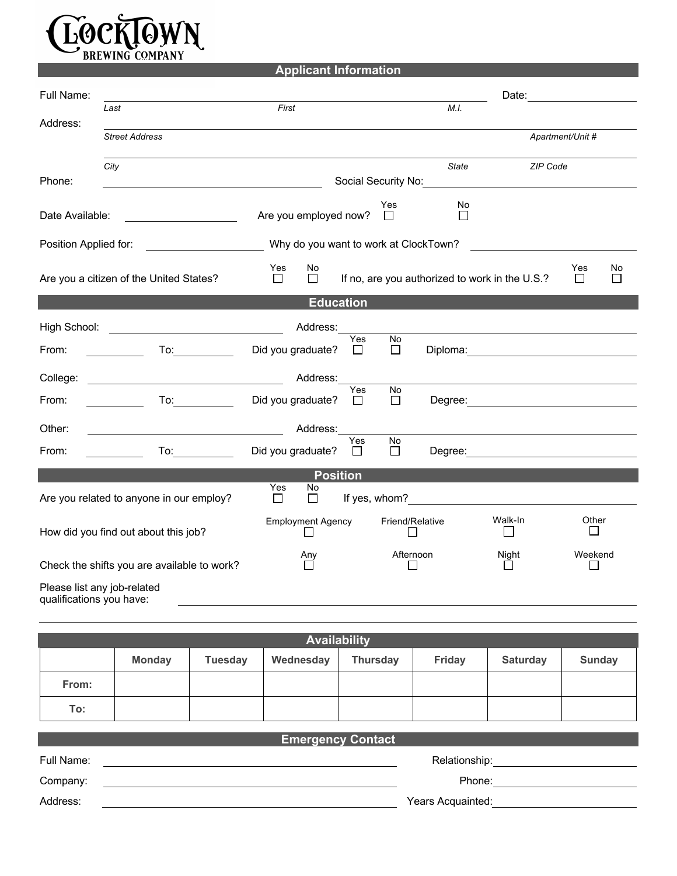

| <b>Applicant Information</b> |
|------------------------------|
|                              |

| Full Name:               |                                                                                                                                                                                                                                |                                       |                                                | Date:                                |  |
|--------------------------|--------------------------------------------------------------------------------------------------------------------------------------------------------------------------------------------------------------------------------|---------------------------------------|------------------------------------------------|--------------------------------------|--|
|                          | Last                                                                                                                                                                                                                           | First                                 | M.I.                                           |                                      |  |
| Address:                 | <b>Street Address</b>                                                                                                                                                                                                          |                                       |                                                | Apartment/Unit #                     |  |
|                          | City                                                                                                                                                                                                                           |                                       | <b>State</b>                                   | ZIP Code                             |  |
| Phone:                   |                                                                                                                                                                                                                                |                                       | Social Security No:                            |                                      |  |
| Date Available:          | <u> 1990 - Johann Barbara, martin a</u>                                                                                                                                                                                        | Are you employed now?                 | Yes<br>No<br>$\Box$<br>$\Box$                  |                                      |  |
| Position Applied for:    |                                                                                                                                                                                                                                | Why do you want to work at ClockTown? |                                                |                                      |  |
|                          | Are you a citizen of the United States?                                                                                                                                                                                        | Yes<br>No<br>П<br>$\Box$              | If no, are you authorized to work in the U.S.? | Yes<br>No<br>$\Box$                  |  |
|                          |                                                                                                                                                                                                                                | <b>Education</b>                      |                                                |                                      |  |
| High School:             | <u> 1990 - Johann Barbara, martin a</u>                                                                                                                                                                                        | Address:                              |                                                |                                      |  |
| From:                    | To: $\qquad \qquad \qquad$                                                                                                                                                                                                     | Yes<br>Did you graduate?<br>$\perp$   | No<br>П                                        | Diploma: <u>____________________</u> |  |
| College:                 |                                                                                                                                                                                                                                | Address:                              |                                                |                                      |  |
| From:                    | To: $\qquad \qquad \qquad$                                                                                                                                                                                                     | Yes<br>Did you graduate?<br>$\perp$   | No<br>$\Box$                                   |                                      |  |
| Other:                   |                                                                                                                                                                                                                                | Address:                              |                                                |                                      |  |
| From:                    | To: the contract of the contract of the contract of the contract of the contract of the contract of the contract of the contract of the contract of the contract of the contract of the contract of the contract of the contra | Yes<br>Did you graduate?<br>$\Box$    | No<br>$\Box$                                   |                                      |  |
| <b>Position</b>          |                                                                                                                                                                                                                                |                                       |                                                |                                      |  |
|                          | Are you related to anyone in our employ?                                                                                                                                                                                       | Yes<br>No<br>$\Box$<br>$\Box$         |                                                |                                      |  |
|                          | How did you find out about this job?                                                                                                                                                                                           | <b>Employment Agency</b>              | Friend/Relative                                | Walk-In<br>Other                     |  |
|                          | Check the shifts you are available to work?                                                                                                                                                                                    | Any                                   | Afternoon<br>П                                 | Weekend<br>Night<br>П<br>⊔           |  |
| qualifications you have: | Please list any job-related                                                                                                                                                                                                    |                                       |                                                |                                      |  |

| <b>Availability</b> |               |                |           |                 |               |          |               |
|---------------------|---------------|----------------|-----------|-----------------|---------------|----------|---------------|
|                     | <b>Monday</b> | <b>Tuesday</b> | Wednesday | <b>Thursday</b> | <b>Friday</b> | Saturday | <b>Sunday</b> |
| From:               |               |                |           |                 |               |          |               |
| To:                 |               |                |           |                 |               |          |               |

| <b>Emergency Contact</b> |                   |  |  |
|--------------------------|-------------------|--|--|
| Full Name:               | Relationship:     |  |  |
| Company:                 | Phone:            |  |  |
| Address:                 | Years Acquainted: |  |  |